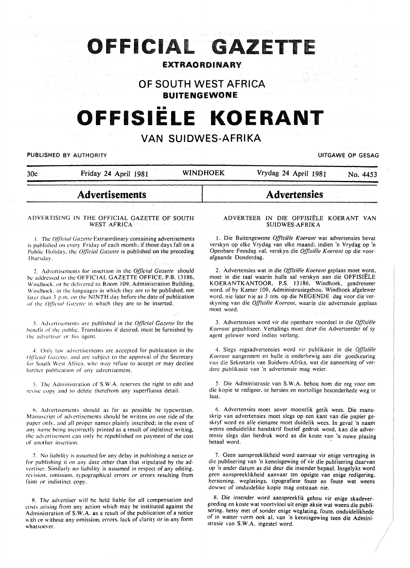# OFFICIAL GAZET

### EXTRAORDINARY

## **OF SOUTH WEST AFRICA**

**BUITENGEWONE** 

## **OFFISIELE KOERANT**

## **VAN SUIDWES-AFRIKA**

PUBLISHED BY AUTHORITY **NAMEL SEE A SECULIE ASSAULT ASSAULT** OF GESAG UITGAWE OP GESAG

 $\mathcal{C}\not\cong \mathcal{U}$ 

30c Friday 24 April 1981 WINO HOEK Vrydag 24 April 1981 No. 4453

**Advertensies** 

### **Advertisements**

#### ADVERTISING IN THE OFFICIAL GAZETTE OF SOUTH WEST AFRICA

1. The *q[llcia/ Ca=ette* Extraordinary containing advertisements is published on every Friday of each month; if those days fall on a Public Holiday. the *Official Gazette* is published on the preceding Thursday.

*2.* Advcrtisernents for insertion in the *Official Gazelfe* should he addressed to the OFFICIAL GAZETTE OFFICE. P.B. 13186, Windhoek, or be delivered to Room 109. Administration Building, Windhoek. in the languages in which they are to be published. not later than 3 p.m. on the NINTH day before the date of publication of the *Official Gazette* in which they are to be inserted.

3. Advertisements are published in the *Official Gazette* for the benefit of the public. Translations if desired. must be furnished by the advertiser or his agent.

4. Only law advertisements are accepted for publication in the *Official Gazette*, and are subject to the approval of the Secretary for South West Africa. whc may refuse to accept or may decline further publication of any advertisement.

5. The Administration of S.W.A. reserves the right to edit and revise copy and to delete therefrom any superfluous detail.

6. Advertisements should as far as possible be typewritten. Manuscript of advertisements should be written on one side of the paper only. and all proper names plainly inscribed; in the event of any name being incorrectly printed as a result of indistinct writing. the advertisement can only he republished on payment of the cost of another insertion.

7. No liability is assumed for any delay in publishing a notice or for publishing it on any date other than that stipulated by the advertiser. Similarly no liability is assumed in respect of any editing. revision. omission. typographical errors or errors resulting from faint or indistinct copy.

8. The advertiser will be held liable for all compensation and costs arising from any action which may be instituted against the Administration of S.W.A. as a result of the publication of a notice with or without any omission, errors, lack of clarity or in any form whatsoever.

#### ADVERTEER IN DIE OFFISIELE KOERANT VAN SUIDWES-AFRIK A

1. Die Buitengewone Offisiële Koerant wat advertensies bevat verskyn op elke Vrydag van elke maand; indien 'n Vrydag op 'n Openbare Feesdag val. verskyn die *Offisiefe Koerant* op die voorafgaande Donderdag.

2. Advertensies wat in die *Offisiefe Koerant* geplaas moet word, moet in die taal waarin hulle sal verskyn aan die OFFISIELE KOERANTKANTOOR. P.S. 13186, Windhoek. geadresseer word. of by Kamer 109. Administrasiegebou. Windhoek afgelewer word. nie later nie as 3 nm. op die NEGENDE dag voor die verskyning van die *Offisiële Koerant*, waarin die advertensie geplaas moet word.

3. Advertensies word vir die openbare voordeel in die *Q{/lsiefe Koerant* gepubliseer. Vertalings moet deut die Adverteerder of sy agent gelewer word indien verlang.

4. Slegs regsadvertensies word vir publikasie in die. *O.ffisiele Koerant* aangeneem en hulle is onderhewig aan die goedkeuring van die Sekretaris van Suidwes-Afrika. wat die aanneming of verdere publikasie van 'n advertensie mag weier.

5. Die Administrasie van S.W.A. behou hom die reg voor om die kopie te redigeer. te hersien en oortollige besonderhede weg te laat.

6. Advertensies moet sover moontlik getik wees. Die manuskrip van advertensies moet slegs op een kant van die papier geskryf word en aile eiename moet duidelik wees. In geval 'n naam weens onduidelike handskrif foutief gedruk word, kan die advertensie slegs dan herdruk word as die koste van 'n nuwe plasing betaal word.

7. Geen aanspreeklikheid word aanvaar vir enige vertraging in die publisering van 'n kennisgewing of vir die publisering daarvan op ·n ander datum as die deur die insender bepaal. Insgelyks word geen aanspreeklikheid aanvaar ten opsigte van enige redigering. hersiening. weglatings. tipografiese foute en foute wat weens dowwe of onduidelike kopie mag ontstaan nie.

8. Die insender word aanspreeklik gehou vir enige skadevergoeding en koste wat voortvloei uit enige aksie wat weens die publisering. hetsy met of sonder enige weglating. foute. onduidelikhede of in watter vorm ook al. van 'n kennisgewing teen die Administrasie van S.W.A. ingestel word.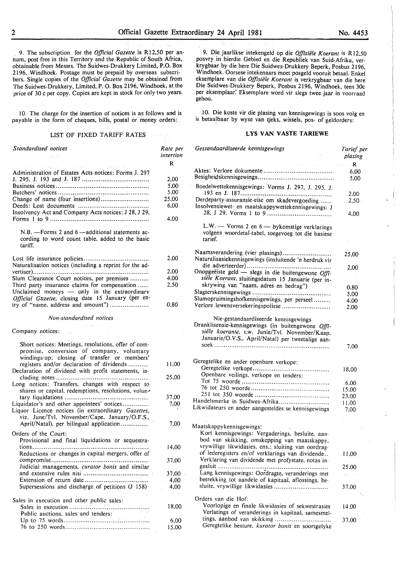. 9. The subscription for the *Official Gazette* is Rl2,50 per annum, post free in this Territory and the Republic of South Africa, obtainable from Messrs. The Suidwes-Drukkery Limited, P.O. Box 2I96, Windhoek. Postage must be prepaid by overseas subscribers. Single copies of the *Official Gazette* may be obtained from The Suidwes-Drukkery, Limited, P. 0. Box 2I96, Windhoek, at the price of 30 c per copy. Copies are kept in stock for only two years.

10. The charge for the insertion of notices is as follows and is payable in the form of cheques, bills, postal or money orders:

#### LIST OF FIXED TARIFF RATES

| Standardised notices                                                                                                                              | Rate per     |
|---------------------------------------------------------------------------------------------------------------------------------------------------|--------------|
|                                                                                                                                                   | insertion    |
|                                                                                                                                                   | R            |
| Administration of Estates Acts notices: Forms J. 297                                                                                              |              |
|                                                                                                                                                   | 2,00         |
|                                                                                                                                                   | 5.00         |
|                                                                                                                                                   | 5,00         |
| Change of name (four insertions)                                                                                                                  | 25,00        |
| Insolvency Act and Company Acts notices: J 28, J 29,                                                                                              | 6,00         |
|                                                                                                                                                   | 4,00         |
| $N.B. -$ Forms 2 and 6 $-$ additional statements ac-<br>cording to word count table, added to the basic<br>tariff.                                |              |
|                                                                                                                                                   |              |
| Naturalisation notices (including a reprint for the ad-                                                                                           | 2,00         |
|                                                                                                                                                   | 2,00         |
| Slum Clearance Court notices, per premises<br>Third party insurance claims for compensation                                                       | 4,00<br>2,50 |
| Unclaimed moneys - only in the extraordinary                                                                                                      |              |
| Official Gazette, closing date 15 January (per en-                                                                                                |              |
| try of "name, address and amount")                                                                                                                | 0.80         |
|                                                                                                                                                   |              |
| Non-standardised notices                                                                                                                          |              |
|                                                                                                                                                   |              |
| Company notices:                                                                                                                                  |              |
| Short notices: Meetings, resolutions, offer of com-<br>promise, conversion of company, voluntary<br>windings-up; closing of transfer or members'  |              |
| registers and/or declaration of dividends<br>Declaration of dividend with profit statements, in-                                                  | 11,00        |
|                                                                                                                                                   | 25,00        |
| Long notices: Transfers, changes with respect to<br>shares or capital, redemptions, resolutions, volun-                                           |              |
|                                                                                                                                                   | 37,00        |
| Liquidator's and other appointees' notices<br>Liquor Licence notices (in extraordinary Gazettes,<br>viz. June/Tvl. November/Cape, January/O.F.S., | 7,00         |
| April/Natal), per bilingual application                                                                                                           | 7,00         |
|                                                                                                                                                   |              |
| Orders of the Court:<br>Provisional and final liquidations or sequestra-                                                                          |              |
| tions                                                                                                                                             | 14.00        |
| Reductions or changes in capital mergers, offer of                                                                                                |              |
|                                                                                                                                                   | 37,00        |
| Judicial managements, curator bonis and similar                                                                                                   |              |
|                                                                                                                                                   | 37,00        |
|                                                                                                                                                   | 4,00         |
| Supersessions and discharge of petitions (J 158)                                                                                                  | 4.00         |
| Sales in execution and other public sales:                                                                                                        |              |
|                                                                                                                                                   | 18,00        |
| in a grand to<br>Public auctions, sales and tenders:                                                                                              |              |
|                                                                                                                                                   | 6,00         |
|                                                                                                                                                   | 15,00        |

9. Die jaarlikse intekengeld op die *Offisiële Koerant* is R12,50 posvry in hierdie Gebied en die Republiek van Suid-Afrika, verkrygbaar by die here Die Suidwes-Drukkery Beperk, Posbus 2196, Windhoek. Oorsese intekenaars moet posgeld vooruit betaal. Enkel eksemplare van die *Offisiiile Koerant* is verkrygbaar van die here Die Suidwes-Drukkery Beperk, Posbus 2I96, Windhoek, teen 30c per eksemplaar: Eksemplare word vir slegs twee jaar in voorraad gehou.

10. Die koste vir die plasing van kennisgewings is soos volg en is betaalbaar by wyse van tjeks, wissels, pos- of geldorders:

#### **LYS VAN VASTE TARIEWE**

| Gestandaardiseerde kennisgewings<br>森兰人名                                                                                                                  | Tarief per<br>plasing |
|-----------------------------------------------------------------------------------------------------------------------------------------------------------|-----------------------|
| where $\mathbf r$ is a set of the second conditions $\mathbf R$                                                                                           |                       |
|                                                                                                                                                           | 6.00.                 |
|                                                                                                                                                           | 5,00                  |
| Boedelwettekennisgewings: Vorms J. 297, J. 295, J.                                                                                                        |                       |
|                                                                                                                                                           | 2.00                  |
| Derdeparty-assuransie-eise om skadevergoeding<br>Insolvensiewet- en maatskappywettekennisgewings: J                                                       | $2.50 -$              |
|                                                                                                                                                           | 4.00                  |
| L.W. - Vorms 2 en 6 - bykomstige verklarings<br>volgens woordetal-tabel, toegevoeg tot die basiese<br>tarief.                                             |                       |
| Naamsverandering (vier plasings)<br>Naturalisasiekennisgewings (insluitende 'n herdruk vir                                                                | 25,00                 |
|                                                                                                                                                           |                       |
| Onopgeëiste geld - slegs in die buitengewone Offi-                                                                                                        | 2,00                  |
|                                                                                                                                                           |                       |
| siële Koerant, sluitingsdatum 15 Januarie (per in-                                                                                                        | e y Co                |
| skrywing van "naam, adres en bedrag")                                                                                                                     | 0.80                  |
|                                                                                                                                                           | 5.00                  |
| Slumopruimingshofkennisgewings, per perseel                                                                                                               | 4,00                  |
| Verlore lewensversekeringspolisse                                                                                                                         | 2.00                  |
| Dranklisensie-kennisgewings (in buitengewone Offi-<br>siële koerante, t.w. Junie/Tvl. November/Kaap,<br>Januarie/O.V.S., April/Natal) per tweetalige aan- | 7.00                  |
| Geregtelike en ander openbare verkope:                                                                                                                    |                       |
|                                                                                                                                                           | 18.00                 |
| Openbare veilings, verkope en tenders:                                                                                                                    |                       |
|                                                                                                                                                           |                       |
|                                                                                                                                                           | 6.00                  |
|                                                                                                                                                           | 15.00                 |
| Handelsmerke in Suidwes-Afrika                                                                                                                            | 23,00                 |
| Likwidateurs en ander aangesteldes se kennisgewings                                                                                                       | 11.00                 |
|                                                                                                                                                           | 7,00                  |
| Maatskappykennisgewings:                                                                                                                                  |                       |
| Kort kennisgewings: Vergaderings, besluite, aan-                                                                                                          |                       |
|                                                                                                                                                           |                       |
| bod van skikking, omskepping van maatskappy,                                                                                                              |                       |
| vrywillige likwidasies, ens.; sluiting van oordrag-                                                                                                       |                       |
| of lederegisters en/of verklarings van dividende<br>Verklaring van dividende met profystate, notas in-                                                    | 11.00                 |
| gesluit<br>                                                                                                                                               | 25.00                 |
| Lang kennisgewings: Oordragte, veranderings met                                                                                                           | للماء وأواله          |
| betrekking tot aandele of kapitaal, aflossings, be-                                                                                                       |                       |
| sluite, vrywillige likwidasies                                                                                                                            | 37.00                 |
|                                                                                                                                                           |                       |
| Orders van die Hof:                                                                                                                                       |                       |
| Voorlopige en finale likwidasies of sekwestrasies                                                                                                         | 14.00                 |
| Verlatings of veranderings in kapitaal, samesmel-                                                                                                         |                       |
|                                                                                                                                                           | 37.00                 |
| Geregtelike besture, kurator bonis en soortgelyke                                                                                                         |                       |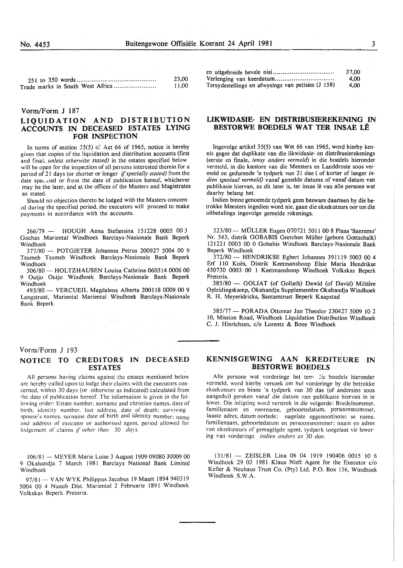| 23.00 |
|-------|
| 11.00 |
|       |

Yorm/Form J 187

#### LIQUIDATION AND DISTRIBUTION ACCOUNTS IN DECEASED ESTATES LYING FOR INSPECTION

In terms of section  $35(5)$  of Act 66 of 1965, notice is hereby given that copies of the liquidation and distribution accounts (first and final, *unless otherwise stated)* in the estates specified below will be open for the inspection of all persons interested therein for a period of 21 days (or shorter or longer *{[specially stated)* from the date speculed or from the date of publication hereof, whichever may be the later, and at the offices of the Masters and Magistrates as stated.

Should no objection thereto be lodged with the Masters concern ed during the specified period, the executors will proceed to make payments in accordance with the accounts.

266/79 - HOUGH Anna Stefansina 151228 0005 00 3 Gochas Mariental Windhoek Barclays-Nasionale Bank Beperk Windhoek

377/80 - POTGIETER Johannes Petrus 200927 5004 00 9 Tsumeb Tsumeb Windhoek Barclays-Nasionale Bank Beperk Windhoek

306/80- HOLTZHAUSEN Louisa Cathrina 060314 0006 00 9 Outjo Outjo Windhoek Barclays-Nasionale Bank Beperk Windhoek

493/80- VERCUEIL Magdalena Alberta 200118 0009 00 9 Langstraat, Mariental Mariental Windhoek Barclays-Nasionale Bank Beperk

#### Vorm/Form J 193

#### NOTICE TO CREDITORS IN DECEASED ESTATES

All persons having claims against the estates mentioned below are hereby called upon to lodge their claims with the executors concerned. within 30 days (or otherwise as indicated) calculated from the date of publication hereof. The information is given in the following order: Estate number. surname and christian names. date of birth. identity number. last address. date of death: surviving spouse's names. surname date of birth and identity number: name and address of executor or authorised agent. period allowed for lodgement of claims i/ *other than* 30 *days.* 

!06/81 --MEYER Marie Luise 3 August 1909 09080 30009 00 9 Okahandja 7 March 1981 Barclays National Bank Limited Windhoek

97/81 - VAN WYK Philippus Jacobus 19 Maart 1894 940319 5004 00 4 Nuaub Dist. Mariental 2 Februarie 1891 Windhoek Volkskas Beperk Pretoria.

|                                                    | 37.00   |
|----------------------------------------------------|---------|
|                                                    | -4.00   |
| Tersydestellings en afwysings van petisies (J 158) | $-4.00$ |

#### UKWIDASIE- EN DISTRIBUSIEREKENING IN BESTORWE BOEDELS WAT TER INSAE LE

Ingevolge artikel 35(5) van Wet 66 van 1965, word hierby kennis gegee dat duplikate van die likwidasie- en distribusierekenings (eerste en finale, *tensy anders vermeld)* in die boedels hieronder vermeld, in die kantore van die Meesters en Landdroste soos vermeld en gedurende 'n tydperk van 21 dae ( of korter of Ianger *indien spesiaal vermeld)* vanaf gemelde datums of vanaf datum van publikasie hiervan, as dit later is, ter insae lê van alle persone wat daarby belang het.

Indien binne genoemde tydperk geen besware daarteen by die betrokke Meesters ingedien word nie, gaan die eksekuteurs oor tot die uitbetalings ingevolge gemelde rekenings.

523/80- MULLER Eugen 070721 5011 00 8 Plaas 'Sanremo' Nr. 543, distrik GOBABIS Gretchen Muller (gebore Gottschalk) 121221 0003 00 0 Gobabis Windhoek Barclays-Nasionale Bank Beperk Windhoek

372/80- HENDRIKSE Egbert Johannes 391119 5003 00 4 Erf 110 Koës, Distrik Keetmanshoop Elsie Maria Hendrikse 450730 0003 00 1 Keetmanshoop Windhoek Volkskas Beperk Pretoria.

385/80 - GOLIAT (of Goliath) Dawid (of David) Militêre Opleidingskamp, Okahandja Supplementêre Okahandja Windhoek R. H. Meyeridricks, Santamtrust Beperk Kaapstad

385/77- PORADA Ottomar Jan Theodor 230427 5009 10 2 10, Mission Road, Windhoek Liquidation Distribution Windhoek C. J. Hinrichsen, c/o Lorentz & Bone Windhoek

#### KENNISGEWING AAN KREDITEURE IN BESTORWE BOEDELS

Alle persone wat vorderinge het teen lie boedels hieronder vermeld. word hierby versoek om hul vorderinge by die betrokke eksekuteurs en binne 'n tydperk van 30 dae (of andersins soos aangedui) gereken vanaf die datum van publikasie hiervan in te !ewer. Die inligting word verstrek in die volgorde: Boedelnommer. familienaam en voorname. geboortedatum. persoonsnommer, laaste adres, datum oorlede: nagelate eggenoot(note) se name, familienaam. geboortedatum en persoonsnommer: naam en adres van eksekuteurs of gemagtigde agent. tydperk toegelaat vir lewering van vorderings *indien anders as* 30 *dae.* 

131/81 - ZEISLER Lina 06 04 1919 190406 0015 10 6 Windhoek 29 03 1981 Klaus Nieft Agent for the Executor c/o Keller & Neuhaus Trust Co. (Pty) Ltd. P.O. Box 156, Windhoek Windhoek S.W.A.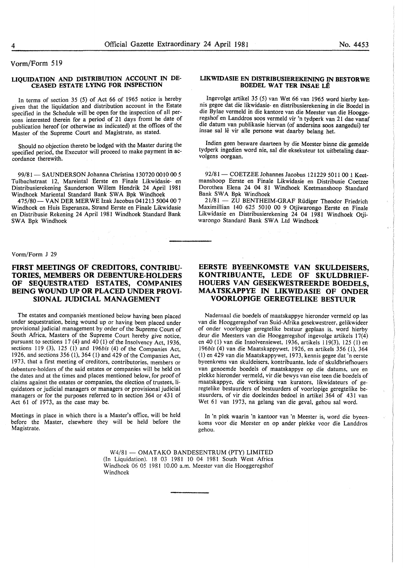#### Vorm/Form 519

#### LIQUIDATION AND DISTRIBUTION ACCOUNT IN DE-CEASED ESTATE LYING FOR INSPECTION

In terms of section 35 (5) of Act 66 of 1965 notice is hereby given that the liquidation and distribution account in the Estate specified in the Schedule will be open for the inspection of all persons interested therein for a period of 21 days fromt he date of publication hereof (or otherwise as indicated) at the offices of the Master of the Supreme Court and Magistrate, as stated.

Should no objection thereto be lodged with the Master during the specified period, the Executor will proceed to make payment in accordance therewith.

99/81 - SAUNDERSON Johanna Christina 130720 0010 00 5 Tulbachstraat 12, Mareintal Eerste en Finale Likwidasie- en Distribusierekening Saunderson Willem Hendrik 24 April 1981 Windhoek Mariental Standard Bank SWA Bpk Windhoek

475/80 - VAN DER MER WE Izak Jacobus 041213 5004 00 7 Windhoek en Huis Esperanza, Strand Eerste en Finale Likwidasie en Distribusie Rekening 24 April 1981 Windhoek Standard Bank SWA Bpk Windhoek

#### Vorm/Form J 29

#### FIRST MEETINGS OF CREDITORS, CONTRIBU-TORIES, MEMBERS OR DEBENTURE-HOLDERS OF SEQUESTRATED ESTATES, COMPANIES BEING WOUND UP OR PLACED UNDER PROVI-SIONAL JUDICIAL MANAGEMENT

The estates and companies mentioned below having been placed under sequestration, being wound up or having been placed under provisional judicial management by order of the Supreme Court of South Africa, Masters of the Supreme Court hereby give notice, pursuant to sections 17 (4) and 40 (1) of the Insolvency Act, 1936, sections 119 (3), 125 (I) and *196bis* (4) of the Companies Act, 1926, and sections 356 ( 1), 364 (I) and 429 of the Companies Act, 1973, that a first meeting of creditors, contributories, members or debenture-holders of the said estates or companies will be held on the dates and at the times and places mentioned below, for proof of claims against the estates or companies, the election of trustees, liquidators or judicial managers or managers or provisional judicial managers or for the purposes referred to in section 364 or 431 of Act 61 of 1973, as the case may be.

Meetings in place in which there is a Master's office, will be held before the Master, elsewhere they will be held before the Magistrate.

#### LIKWIDASIE EN DISTRIBUSIEREKENING IN BESTORWE BOEDEL WAT TER INSAE LE

Ingevolge artikel 35 (5) van Wet 66 van 1965 word hierby kennis gegee dat die likwidasie- en distribusierekening in die Boedel in die Bylae vermeld in die kantore van die Meester van die Hooggeregshof en Landdros soos vermeld vir 'n tydperk van 21 dae vanaf die datum van publikasie hiervan (of andersins soos aangedui) ter insae sal le vir aile persone wat daarby belang het.

Indien geen besware daarteen by die Meester binne die gemelde tydperk ingedien word nie, sal die eksekuteur tot uitbetaling daarvolgens oorgaan.

92/81 - COETZEE Johannes Jacobus 121229 5011 00 1 Keetmanshoop Eerste en Finale Likwidasie en Distribusie Coetzee Dorothea Elena 24 04 81 Windhoek Keetmanshoop Standard Bank SWA Bpk Windhoek

21/81 - ZU BENTHEIM-GRAF Rudiger Theodor Friedrich Maximillian 140 625 5010 00 9 Otjiwarongo Eerste en Finale Likwidasie en Distribusierekening 24 04 1981 Windhoek Otjiwarongo Standard Bank SWA Ltd Windhoek

#### EERSTE BYEENKOMSTE VAN SKULDEISERS, KONTRIBUANTE, LEDE OF SKULDBRIEF-HOUERS VAN GESEKWESTREERDE BOEDELS, MAA TSKAPPYE IN LIKWIDASIE OF ONDER VOORLOPIGE GEREGTELIKE BESTUUR

Nademaal die boedels of maatskappye hieronder vermeld op las van die Hooggeregshof van Suid-Afrika gesekwestreer, gelikwideer of onder voorlopige geregtelike bestuur geplaas is, word hierby deur die Meesters van die Hooggeregshof ingevolge artikels 17(4) en 40 (I) van die Insolvensiewet, 1936, artikels 119(3), 125 (I) en *196bis* (4) van die Maatskappywet, 1926, en artikels 356 (I), 364 (I) en 429 van die Maatskappywet, 1973, kennis gegee dat 'n eerste byeenkoms van skuldeisers, kontribuante. lede of skuldbriefhouers van genoemde boedels of maatskappye op die datums, ure en plekke hieronder vermeld, vir die bewys van eise teen die boedels of maatskappye, die verkiesing van kurators, likwidateurs of geregtelike bestuurders of bestuurders of voorlopige geregtelike bestuurders, of vir die doeleindes bedoel in artikel 364 of 431 van Wet 61 van 1973, na gelang van die geval, gehou sal word.

In 'n plek waarin 'n kantoor van 'n Meester is, word die byeenkoms voor die Meester en op ander plekke voor die Landdros gehou.

W4/81 - OMATAKO BANDESENTRUM (PTY) LIMITED (In Liquidation). 18 03 1981 10 04 1981 South West Africa Windhoek 06 05 1981 10.00 a.m. Meester van die Hooggeregshof Windhoek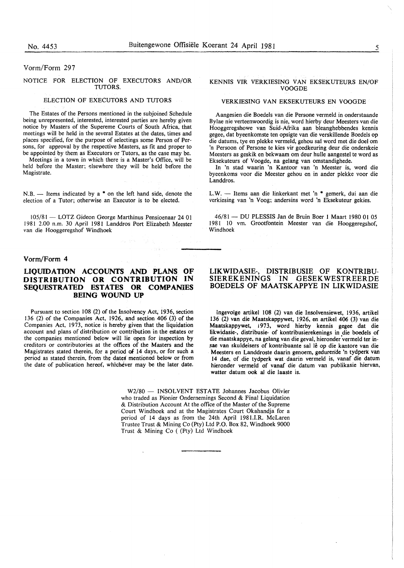#### Vorm/Form 297

#### NOTICE FOR ELECTION OF EXECUTORS AND/OR TUTORS.

#### ELECTION OF EXECUTORS AND TUTORS

The Estates of the Persons mentioned in the subjoined Schedule being unrepresented, interested, interested parties are hereby given notice by Masters of the Supereme Courts of South Africa, that meetings will be held in the several Estates at the dates, times and places specified, for the purpose of selectings some Person of Persons, for approval by the respective Masters, as fit and proper to be appointed by them as Executors or Tutors, as the case may be.

Meetings in a town in which there is a Master's Office, will be held before the Master; elsewhere they will be held before the Magistrate.

N.B.  $\rightarrow$  Items indicated by a  $*$  on the left hand side, denote the election of a Tutor; otherwise an Executor is to be elected.

105/81- LOTZ Gideon George Marthinus Pensioenaar 24 01 1981 2.00 n.m. 30 April 1981 Landdros Port Elizabeth Meester van die Hooggeregshof Windhoek

#### **Vorm/Form 4**

#### **LIQUIDATION ACCOUNTS AND PLANS OF DISTRIBUTION OR CONTRIBUTION IN SEQUESTRATED ESTATES OR COMPANIES BEING WOUND UP**

Pursuant to section 108 (2) of the Insolvency Act, 1936, section 136 (2) of the Companies Act, 1926, and section 406 (3) of the Companies Act, 1973, notice is hereby given that the liquidation account and plans of distribution or contribution in the estates or the companies mentioned below will lie open for inspection by creditors or contributories at the offices of the Masters and the Magistrates stated therein, for a period of 14 days, or for such a period as stated therein, from the dates mentioned below or from the date of publication hereof, whichever may be the later date.

#### KENNIS VIR VERKIESING VAN EKSEKUTEURS EN/OF VOOGDE

#### VERKIESING VAN EKSEKUTEURS EN VOOGDE

Aangesien die Boedels van die Persone vermeld in onderstaande Bylae nie verteenwoordig is nie, word hierby deur Meesters van die Hooggeregshowe van Suid-Afrika aan bleanghebbendes kennis gegee, dat byeenkomste ten opsigte van die verskillende Boedels op die datums, tye en plekke vermeld, gehou sal word met die doel om 'n Persoon of Persone te kies vir goedkeuring deur die onderskeie Meesters as geskik en bekwaam om deur hulle aangestel te word as Eksekuteurs of Voogde, na gelang van omstandighede.

In 'n stad waarin 'n Kantoor van 'n Meester is, word die byeenkoms voor die Meester gehou en in ander plekke voor die Landdros.

L.W. - Items aan die linkerkant met 'n \* gemerk, dui aan die verkiesing van 'n Voog; andersins word 'n Eksekuteur gekies.

46/81 - DU PLESSIS Jan de Bruin Boer 1 Maart 1980 01 05 1981 10 vm. Grootfontein Meester van die Hooggeregshof, Windhoek

#### **LIKWIDASIE-, DISTRIBUSIE OF KONTRIBU-SIEREKENINGS IN GESEKWESTREERDE BOEDELS OF MAATSKAPPYE IN LIKWIDASIE**

Ingevolge artikel 108 (2) van die Insolvensiewet, 1936, artikel 136 (2) van die Maatskappywet, 1926, en artikel 406 (3) van die Maatskappywet, i 973, word hierby kennis gegee dat die likwidasie-, distribusie- of kontribusierekenings in die boedels of die maatskappye, na gelang van die geval, hieronder vermeld ter insae van skuldeisers of kontribuante sal lê op die kantore van die Meesters en Landdroste daarin genoem, gedurende 'n tydperk van 14 dae, of die tydperk wat daarin vermeld is, vanaf die datum hieronder vermeld of vanaf die datum van publikasie hiervan, watter datum ook al die laaste is.

W2/80 - INSOLVENT ESTATE Johannes Jacobus Olivier who traded as Pionier Ondernemings Second & Final Liquidation & Distribution Account At the office of the Master of the Supreme Court Windhoek and at the Magistrates Court Okahandja for a period of 14 days as from the 24th April 198l.I.R. McLaren Trustee Trust & Mining Co (Pty) Ltd P.O. Box 82, Windhoek 9000 Trust & Mining Co ( (Pty) Ltd Windhoek